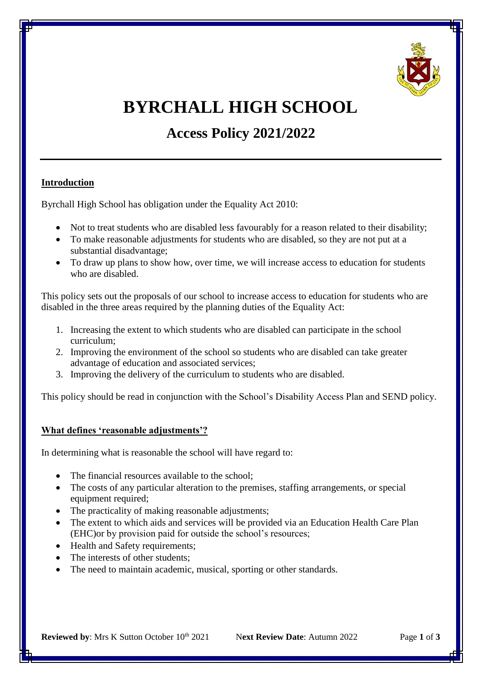

# **BYRCHALL HIGH SCHOOL**

**Access Policy 2021/2022**

## **Introduction**

Byrchall High School has obligation under the Equality Act 2010:

- Not to treat students who are disabled less favourably for a reason related to their disability;
- To make reasonable adjustments for students who are disabled, so they are not put at a substantial disadvantage;
- To draw up plans to show how, over time, we will increase access to education for students who are disabled.

This policy sets out the proposals of our school to increase access to education for students who are disabled in the three areas required by the planning duties of the Equality Act:

- 1. Increasing the extent to which students who are disabled can participate in the school curriculum;
- 2. Improving the environment of the school so students who are disabled can take greater advantage of education and associated services;
- 3. Improving the delivery of the curriculum to students who are disabled.

This policy should be read in conjunction with the School's Disability Access Plan and SEND policy.

#### **What defines 'reasonable adjustments'?**

In determining what is reasonable the school will have regard to:

- The financial resources available to the school;
- The costs of any particular alteration to the premises, staffing arrangements, or special equipment required;
- The practicality of making reasonable adjustments;
- The extent to which aids and services will be provided via an Education Health Care Plan (EHC)or by provision paid for outside the school's resources;
- Health and Safety requirements;
- The interests of other students;
- The need to maintain academic, musical, sporting or other standards.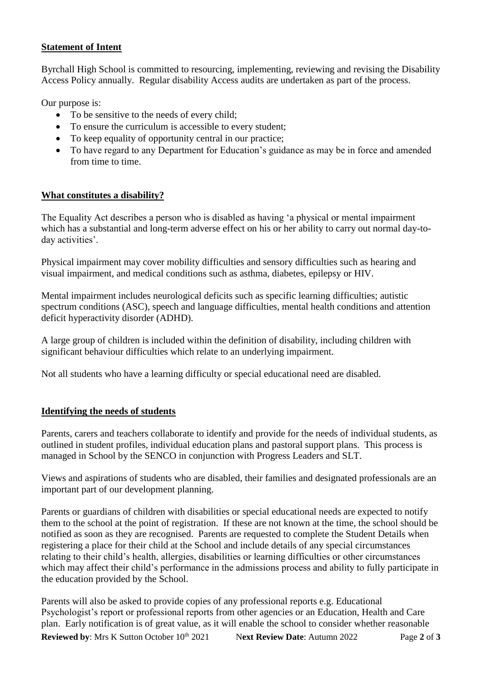# **Statement of Intent**

Byrchall High School is committed to resourcing, implementing, reviewing and revising the Disability Access Policy annually. Regular disability Access audits are undertaken as part of the process.

Our purpose is:

- To be sensitive to the needs of every child;
- To ensure the curriculum is accessible to every student;
- To keep equality of opportunity central in our practice:
- To have regard to any Department for Education's guidance as may be in force and amended from time to time.

# **What constitutes a disability?**

The Equality Act describes a person who is disabled as having 'a physical or mental impairment which has a substantial and long-term adverse effect on his or her ability to carry out normal day-today activities'.

Physical impairment may cover mobility difficulties and sensory difficulties such as hearing and visual impairment, and medical conditions such as asthma, diabetes, epilepsy or HIV.

Mental impairment includes neurological deficits such as specific learning difficulties; autistic spectrum conditions (ASC), speech and language difficulties, mental health conditions and attention deficit hyperactivity disorder (ADHD).

A large group of children is included within the definition of disability, including children with significant behaviour difficulties which relate to an underlying impairment.

Not all students who have a learning difficulty or special educational need are disabled.

# **Identifying the needs of students**

Parents, carers and teachers collaborate to identify and provide for the needs of individual students, as outlined in student profiles, individual education plans and pastoral support plans. This process is managed in School by the SENCO in conjunction with Progress Leaders and SLT.

Views and aspirations of students who are disabled, their families and designated professionals are an important part of our development planning.

Parents or guardians of children with disabilities or special educational needs are expected to notify them to the school at the point of registration. If these are not known at the time, the school should be notified as soon as they are recognised. Parents are requested to complete the Student Details when registering a place for their child at the School and include details of any special circumstances relating to their child's health, allergies, disabilities or learning difficulties or other circumstances which may affect their child's performance in the admissions process and ability to fully participate in the education provided by the School.

**Reviewed by**: Mrs K Sutton October 10<sup>th</sup> 2021 Next Review Date: Autumn 2022 Page 2 of 3 Parents will also be asked to provide copies of any professional reports e.g. Educational Psychologist's report or professional reports from other agencies or an Education, Health and Care plan. Early notification is of great value, as it will enable the school to consider whether reasonable